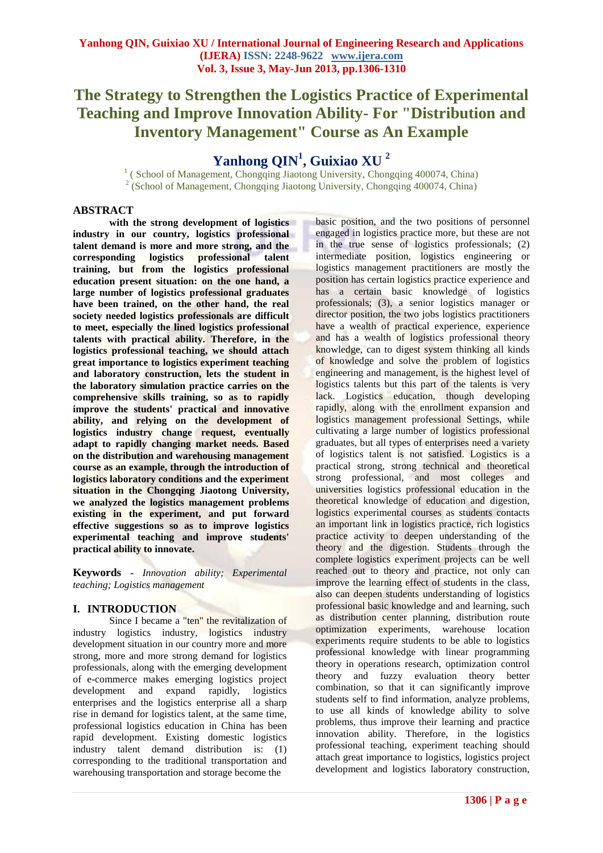# **The Strategy to Strengthen the Logistics Practice of Experimental Teaching and Improve Innovation Ability- For "Distribution and Inventory Management" Course as An Example**

# **Yanhong QIN<sup>1</sup> , Guixiao XU <sup>2</sup>**

<sup>1</sup> ( School of Management, Chongqing Jiaotong University, Chongqing 400074, China) <sup>2</sup> (School of Management, Chongqing Jiaotong University, Chongqing 400074, China)

# **ABSTRACT**

**with the strong development of logistics industry in our country, logistics professional talent demand is more and more strong, and the corresponding logistics professional talent training, but from the logistics professional education present situation: on the one hand, a large number of logistics professional graduates have been trained, on the other hand, the real society needed logistics professionals are difficult to meet, especially the lined logistics professional talents with practical ability. Therefore, in the logistics professional teaching, we should attach great importance to logistics experiment teaching and laboratory construction, lets the student in the laboratory simulation practice carries on the comprehensive skills training, so as to rapidly improve the students' practical and innovative ability, and relying on the development of logistics industry change request, eventually adapt to rapidly changing market needs. Based on the distribution and warehousing management course as an example, through the introduction of logistics laboratory conditions and the experiment situation in the Chongqing Jiaotong University, we analyzed the logistics management problems existing in the experiment, and put forward effective suggestions so as to improve logistics experimental teaching and improve students' practical ability to innovate.**

**Keywords -** *Innovation ability; Experimental teaching; Logistics management*

# **I. INTRODUCTION**

Since I became a "ten" the revitalization of industry logistics industry, logistics industry development situation in our country more and more strong, more and more strong demand for logistics professionals, along with the emerging development of e-commerce makes emerging logistics project development and expand rapidly, logistics enterprises and the logistics enterprise all a sharp rise in demand for logistics talent, at the same time, professional logistics education in China has been rapid development. Existing domestic logistics industry talent demand distribution is: (1) corresponding to the traditional transportation and warehousing transportation and storage become the

basic position, and the two positions of personnel engaged in logistics practice more, but these are not in the true sense of logistics professionals; (2) intermediate position, logistics engineering or logistics management practitioners are mostly the position has certain logistics practice experience and has a certain basic knowledge of logistics professionals; (3), a senior logistics manager or director position, the two jobs logistics practitioners have a wealth of practical experience, experience and has a wealth of logistics professional theory knowledge, can to digest system thinking all kinds of knowledge and solve the problem of logistics engineering and management, is the highest level of logistics talents but this part of the talents is very lack. Logistics education, though developing rapidly, along with the enrollment expansion and logistics management professional Settings, while cultivating a large number of logistics professional graduates, but all types of enterprises need a variety of logistics talent is not satisfied. Logistics is a practical strong, strong technical and theoretical strong professional, and most colleges and universities logistics professional education in the theoretical knowledge of education and digestion, logistics experimental courses as students contacts an important link in logistics practice, rich logistics practice activity to deepen understanding of the theory and the digestion. Students through the complete logistics experiment projects can be well reached out to theory and practice, not only can improve the learning effect of students in the class, also can deepen students understanding of logistics professional basic knowledge and and learning, such as distribution center planning, distribution route optimization experiments, warehouse location experiments require students to be able to logistics professional knowledge with linear programming theory in operations research, optimization control theory and fuzzy evaluation theory better combination, so that it can significantly improve students self to find information, analyze problems, to use all kinds of knowledge ability to solve problems, thus improve their learning and practice innovation ability. Therefore, in the logistics professional teaching, experiment teaching should attach great importance to logistics, logistics project development and logistics laboratory construction,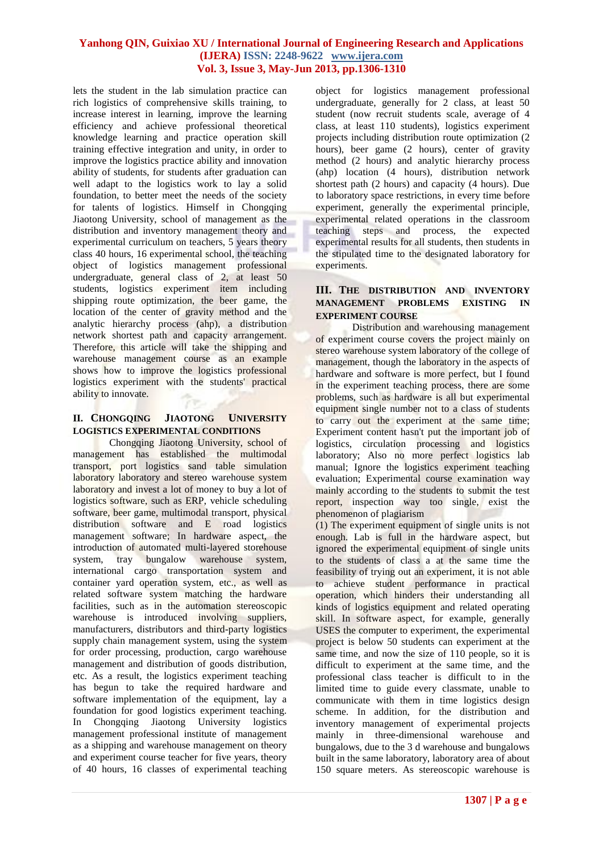lets the student in the lab simulation practice can rich logistics of comprehensive skills training, to increase interest in learning, improve the learning efficiency and achieve professional theoretical knowledge learning and practice operation skill training effective integration and unity, in order to improve the logistics practice ability and innovation ability of students, for students after graduation can well adapt to the logistics work to lay a solid foundation, to better meet the needs of the society for talents of logistics. Himself in Chongqing Jiaotong University, school of management as the distribution and inventory management theory and experimental curriculum on teachers, 5 years theory class 40 hours, 16 experimental school, the teaching object of logistics management professional undergraduate, general class of 2, at least 50 students, logistics experiment item including shipping route optimization, the beer game, the location of the center of gravity method and the analytic hierarchy process (ahp), a distribution network shortest path and capacity arrangement. Therefore, this article will take the shipping and warehouse management course as an example shows how to improve the logistics professional logistics experiment with the students' practical ability to innovate.

## **II. CHONGQING JIAOTONG UNIVERSITY LOGISTICS EXPERIMENTAL CONDITIONS**

Chongqing Jiaotong University, school of management has established the multimodal transport, port logistics sand table simulation laboratory laboratory and stereo warehouse system laboratory and invest a lot of money to buy a lot of logistics software, such as ERP, vehicle scheduling software, beer game, multimodal transport, physical distribution software and E road logistics management software; In hardware aspect, the introduction of automated multi-layered storehouse system, tray bungalow warehouse system, international cargo transportation system and container yard operation system, etc., as well as related software system matching the hardware facilities, such as in the automation stereoscopic warehouse is introduced involving suppliers, manufacturers, distributors and third-party logistics supply chain management system, using the system for order processing, production, cargo warehouse management and distribution of goods distribution, etc. As a result, the logistics experiment teaching has begun to take the required hardware and software implementation of the equipment, lay a foundation for good logistics experiment teaching. In Chongqing Jiaotong University logistics management professional institute of management as a shipping and warehouse management on theory and experiment course teacher for five years, theory of 40 hours, 16 classes of experimental teaching

object for logistics management professional undergraduate, generally for 2 class, at least 50 student (now recruit students scale, average of 4 class, at least 110 students), logistics experiment projects including distribution route optimization (2 hours), beer game (2 hours), center of gravity method (2 hours) and analytic hierarchy process (ahp) location (4 hours), distribution network shortest path (2 hours) and capacity (4 hours). Due to laboratory space restrictions, in every time before experiment, generally the experimental principle, experimental related operations in the classroom<br>teaching steps and process, the expected teaching steps and process, the experimental results for all students, then students in the stipulated time to the designated laboratory for experiments.

## **III. THE DISTRIBUTION AND INVENTORY MANAGEMENT PROBLEMS EXISTING IN EXPERIMENT COURSE**

Distribution and warehousing management of experiment course covers the project mainly on stereo warehouse system laboratory of the college of management, though the laboratory in the aspects of hardware and software is more perfect, but I found in the experiment teaching process, there are some problems, such as hardware is all but experimental equipment single number not to a class of students to carry out the experiment at the same time; Experiment content hasn't put the important job of logistics, circulation processing and logistics laboratory; Also no more perfect logistics lab manual; Ignore the logistics experiment teaching evaluation; Experimental course examination way mainly according to the students to submit the test report, inspection way too single, exist the phenomenon of plagiarism

(1) The experiment equipment of single units is not enough. Lab is full in the hardware aspect, but ignored the experimental equipment of single units to the students of class a at the same time the feasibility of trying out an experiment, it is not able to achieve student performance in practical operation, which hinders their understanding all kinds of logistics equipment and related operating skill. In software aspect, for example, generally USES the computer to experiment, the experimental project is below 50 students can experiment at the same time, and now the size of 110 people, so it is difficult to experiment at the same time, and the professional class teacher is difficult to in the limited time to guide every classmate, unable to communicate with them in time logistics design scheme. In addition, for the distribution and inventory management of experimental projects mainly in three-dimensional warehouse and bungalows, due to the 3 d warehouse and bungalows built in the same laboratory, laboratory area of about 150 square meters. As stereoscopic warehouse is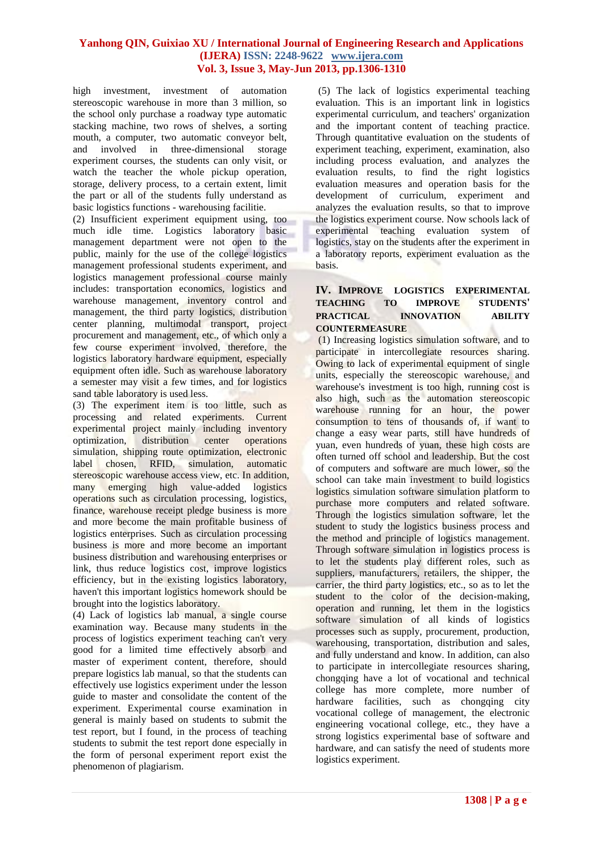high investment, investment of automation stereoscopic warehouse in more than 3 million, so the school only purchase a roadway type automatic stacking machine, two rows of shelves, a sorting mouth, a computer, two automatic conveyor belt,<br>and involved in three-dimensional storage involved in three-dimensional storage experiment courses, the students can only visit, or watch the teacher the whole pickup operation, storage, delivery process, to a certain extent, limit the part or all of the students fully understand as basic logistics functions - warehousing facilitie.

(2) Insufficient experiment equipment using, too much idle time. Logistics laboratory basic management department were not open to the public, mainly for the use of the college logistics management professional students experiment, and logistics management professional course mainly includes: transportation economics, logistics and warehouse management, inventory control and management, the third party logistics, distribution center planning, multimodal transport, project procurement and management, etc., of which only a few course experiment involved, therefore, the logistics laboratory hardware equipment, especially equipment often idle. Such as warehouse laboratory a semester may visit a few times, and for logistics sand table laboratory is used less.

(3) The experiment item is too little, such as processing and related experiments. Current experimental project mainly including inventory optimization, distribution center operations simulation, shipping route optimization, electronic label chosen, RFID, simulation, automatic stereoscopic warehouse access view, etc. In addition, many emerging high value-added logistics operations such as circulation processing, logistics, finance, warehouse receipt pledge business is more and more become the main profitable business of logistics enterprises. Such as circulation processing business is more and more become an important business distribution and warehousing enterprises or link, thus reduce logistics cost, improve logistics efficiency, but in the existing logistics laboratory, haven't this important logistics homework should be brought into the logistics laboratory.

(4) Lack of logistics lab manual, a single course examination way. Because many students in the process of logistics experiment teaching can't very good for a limited time effectively absorb and master of experiment content, therefore, should prepare logistics lab manual, so that the students can effectively use logistics experiment under the lesson guide to master and consolidate the content of the experiment. Experimental course examination in general is mainly based on students to submit the test report, but I found, in the process of teaching students to submit the test report done especially in the form of personal experiment report exist the phenomenon of plagiarism.

(5) The lack of logistics experimental teaching evaluation. This is an important link in logistics experimental curriculum, and teachers' organization and the important content of teaching practice. Through quantitative evaluation on the students of experiment teaching, experiment, examination, also including process evaluation, and analyzes the evaluation results, to find the right logistics evaluation measures and operation basis for the development of curriculum, experiment and analyzes the evaluation results, so that to improve the logistics experiment course. Now schools lack of experimental teaching evaluation system of logistics, stay on the students after the experiment in a laboratory reports, experiment evaluation as the basis.

## **IV. IMPROVE LOGISTICS EXPERIMENTAL TEACHING TO IMPROVE STUDENTS' PRACTICAL INNOVATION ABILITY COUNTERMEASURE**

(1) Increasing logistics simulation software, and to participate in intercollegiate resources sharing. Owing to lack of experimental equipment of single units, especially the stereoscopic warehouse, and warehouse's investment is too high, running cost is also high, such as the automation stereoscopic warehouse running for an hour, the power consumption to tens of thousands of, if want to change a easy wear parts, still have hundreds of yuan, even hundreds of yuan, these high costs are often turned off school and leadership. But the cost of computers and software are much lower, so the school can take main investment to build logistics logistics simulation software simulation platform to purchase more computers and related software. Through the logistics simulation software, let the student to study the logistics business process and the method and principle of logistics management. Through software simulation in logistics process is to let the students play different roles, such as suppliers, manufacturers, retailers, the shipper, the carrier, the third party logistics, etc., so as to let the student to the color of the decision-making, operation and running, let them in the logistics software simulation of all kinds of logistics processes such as supply, procurement, production, warehousing, transportation, distribution and sales, and fully understand and know. In addition, can also to participate in intercollegiate resources sharing, chongqing have a lot of vocational and technical college has more complete, more number of hardware facilities, such as chongqing city vocational college of management, the electronic engineering vocational college, etc., they have a strong logistics experimental base of software and hardware, and can satisfy the need of students more logistics experiment.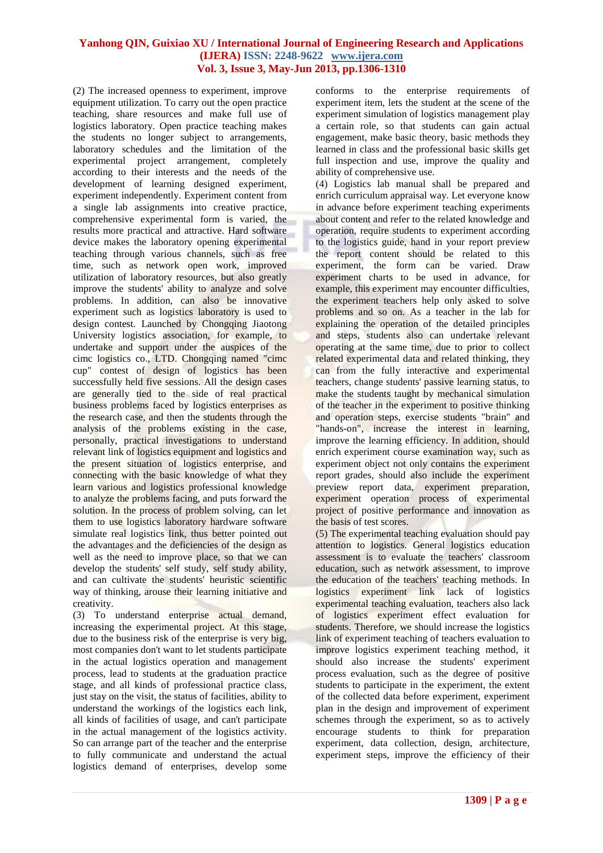(2) The increased openness to experiment, improve equipment utilization. To carry out the open practice teaching, share resources and make full use of logistics laboratory. Open practice teaching makes the students no longer subject to arrangements, laboratory schedules and the limitation of the experimental project arrangement, completely according to their interests and the needs of the development of learning designed experiment, experiment independently. Experiment content from a single lab assignments into creative practice, comprehensive experimental form is varied, the results more practical and attractive. Hard software device makes the laboratory opening experimental teaching through various channels, such as free time, such as network open work, improved utilization of laboratory resources, but also greatly improve the students' ability to analyze and solve problems. In addition, can also be innovative experiment such as logistics laboratory is used to design contest. Launched by Chongqing Jiaotong University logistics association, for example, to undertake and support under the auspices of the cimc logistics co., LTD. Chongqing named "cimc cup" contest of design of logistics has been successfully held five sessions. All the design cases are generally tied to the side of real practical business problems faced by logistics enterprises as the research case, and then the students through the analysis of the problems existing in the case, personally, practical investigations to understand relevant link of logistics equipment and logistics and the present situation of logistics enterprise, and connecting with the basic knowledge of what they learn various and logistics professional knowledge to analyze the problems facing, and puts forward the solution. In the process of problem solving, can let them to use logistics laboratory hardware software simulate real logistics link, thus better pointed out the advantages and the deficiencies of the design as well as the need to improve place, so that we can develop the students' self study, self study ability, and can cultivate the students' heuristic scientific way of thinking, arouse their learning initiative and creativity.

(3) To understand enterprise actual demand, increasing the experimental project. At this stage, due to the business risk of the enterprise is very big, most companies don't want to let students participate in the actual logistics operation and management process, lead to students at the graduation practice stage, and all kinds of professional practice class, just stay on the visit, the status of facilities, ability to understand the workings of the logistics each link, all kinds of facilities of usage, and can't participate in the actual management of the logistics activity. So can arrange part of the teacher and the enterprise to fully communicate and understand the actual logistics demand of enterprises, develop some conforms to the enterprise requirements of experiment item, lets the student at the scene of the experiment simulation of logistics management play a certain role, so that students can gain actual engagement, make basic theory, basic methods they learned in class and the professional basic skills get full inspection and use, improve the quality and ability of comprehensive use.

(4) Logistics lab manual shall be prepared and enrich curriculum appraisal way. Let everyone know in advance before experiment teaching experiments about content and refer to the related knowledge and operation, require students to experiment according to the logistics guide, hand in your report preview the report content should be related to this experiment, the form can be varied. Draw experiment charts to be used in advance, for example, this experiment may encounter difficulties, the experiment teachers help only asked to solve problems and so on. As a teacher in the lab for explaining the operation of the detailed principles and steps, students also can undertake relevant operating at the same time, due to prior to collect related experimental data and related thinking, they can from the fully interactive and experimental teachers, change students' passive learning status, to make the students taught by mechanical simulation of the teacher in the experiment to positive thinking and operation steps, exercise students "brain" and "hands-on", increase the interest in learning, improve the learning efficiency. In addition, should enrich experiment course examination way, such as experiment object not only contains the experiment report grades, should also include the experiment preview report data, experiment preparation, experiment operation process of experimental project of positive performance and innovation as the basis of test scores.

(5) The experimental teaching evaluation should pay attention to logistics. General logistics education assessment is to evaluate the teachers' classroom education, such as network assessment, to improve the education of the teachers' teaching methods. In logistics experiment link lack of logistics experimental teaching evaluation, teachers also lack of logistics experiment effect evaluation for students. Therefore, we should increase the logistics link of experiment teaching of teachers evaluation to improve logistics experiment teaching method, it should also increase the students' experiment process evaluation, such as the degree of positive students to participate in the experiment, the extent of the collected data before experiment, experiment plan in the design and improvement of experiment schemes through the experiment, so as to actively encourage students to think for preparation experiment, data collection, design, architecture, experiment steps, improve the efficiency of their